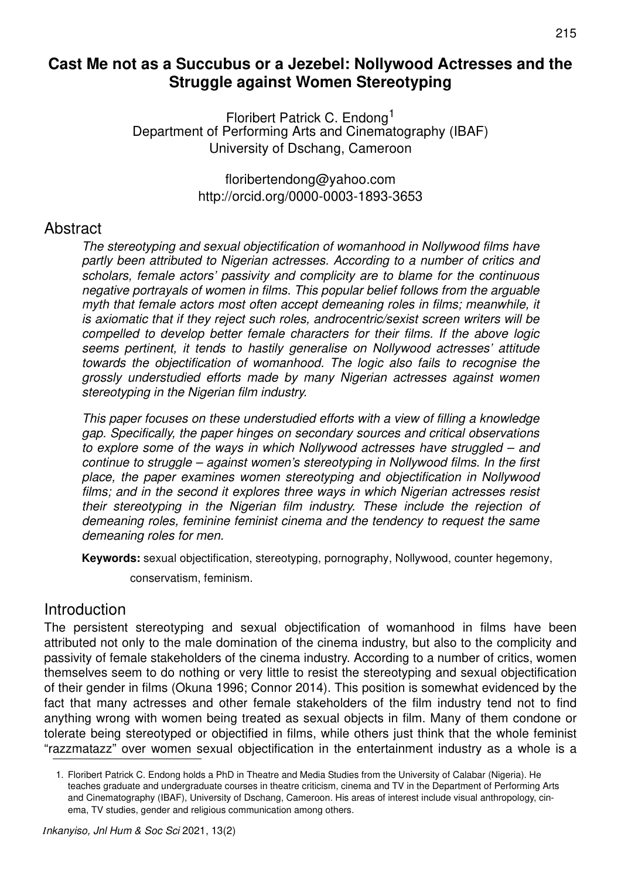## **Cast Me not as a Succubus or a Jezebel: Nollywood Actresses and the Struggle against Women Stereotyping**

Floribert Patrick C. Endong<sup>1</sup> Department of Performing Arts and Cinematography (IBAF) University of Dschang, Cameroon

> floribertendong@yahoo.com http://orcid.org/0000-0003-1893-3653

#### **Abstract**

The stereotyping and sexual objectification of womanhood in Nollywood films have partly been attributed to Nigerian actresses. According to a number of critics and scholars, female actors' passivity and complicity are to blame for the continuous negative portrayals of women in films. This popular belief follows from the arguable myth that female actors most often accept demeaning roles in films; meanwhile, it is axiomatic that if they reject such roles, androcentric/sexist screen writers will be compelled to develop better female characters for their films. If the above logic seems pertinent, it tends to hastily generalise on Nollywood actresses' attitude towards the objectification of womanhood. The logic also fails to recognise the grossly understudied efforts made by many Nigerian actresses against women stereotyping in the Nigerian film industry.

This paper focuses on these understudied efforts with a view of filling a knowledge gap. Specifically, the paper hinges on secondary sources and critical observations to explore some of the ways in which Nollywood actresses have struggled – and continue to struggle – against women's stereotyping in Nollywood films. In the first place, the paper examines women stereotyping and objectification in Nollywood films; and in the second it explores three ways in which Nigerian actresses resist their stereotyping in the Nigerian film industry. These include the rejection of demeaning roles, feminine feminist cinema and the tendency to request the same demeaning roles for men.

**Keywords:** sexual objectification, stereotyping, pornography, Nollywood, counter hegemony,

conservatism, feminism.

#### **Introduction**

The persistent stereotyping and sexual objectification of womanhood in films have been attributed not only to the male domination of the cinema industry, but also to the complicity and passivity of female stakeholders of the cinema industry. According to a number of critics, women themselves seem to do nothing or very little to resist the stereotyping and sexual objectification of their gender in films (Okuna 1996; Connor 2014). This position is somewhat evidenced by the fact that many actresses and other female stakeholders of the film industry tend not to find anything wrong with women being treated as sexual objects in film. Many of them condone or tolerate being stereotyped or objectified in films, while others just think that the whole feminist "razzmatazz" over women sexual objectification in the entertainment industry as a whole is a

<sup>1.</sup> Floribert Patrick C. Endong holds a PhD in Theatre and Media Studies from the University of Calabar (Nigeria). He teaches graduate and undergraduate courses in theatre criticism, cinema and TV in the Department of Performing Arts and Cinematography (IBAF), University of Dschang, Cameroon. His areas of interest include visual anthropology, cinema, TV studies, gender and religious communication among others.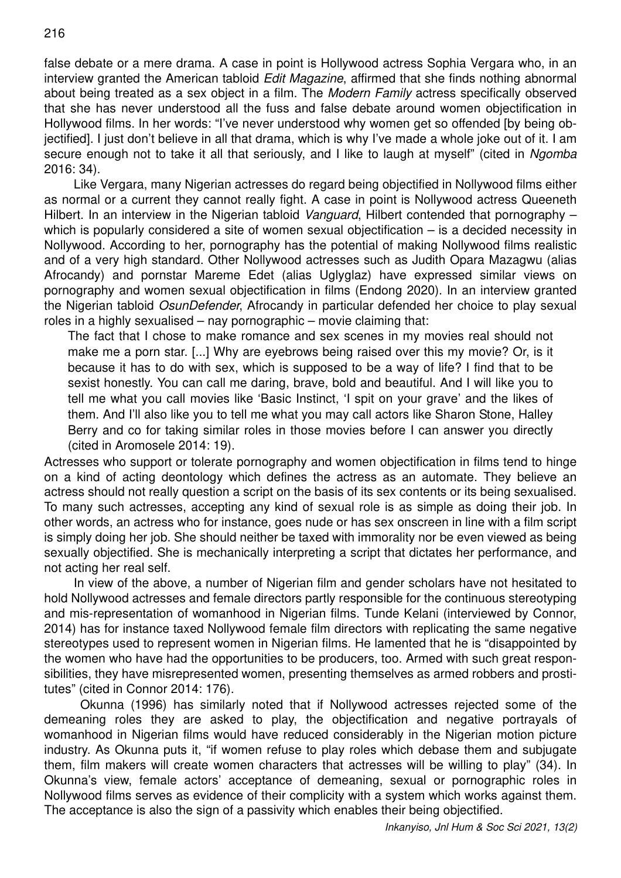false debate or a mere drama. A case in point is Hollywood actress Sophia Vergara who, in an interview granted the American tabloid Edit Magazine, affirmed that she finds nothing abnormal about being treated as a sex object in a film. The Modern Family actress specifically observed that she has never understood all the fuss and false debate around women objectification in Hollywood films. In her words: "I've never understood why women get so offended [by being objectified]. I just don't believe in all that drama, which is why I've made a whole joke out of it. I am secure enough not to take it all that seriously, and I like to laugh at myself" (cited in Ngomba 2016: 34).

Like Vergara, many Nigerian actresses do regard being objectified in Nollywood films either as normal or a current they cannot really fight. A case in point is Nollywood actress Queeneth Hilbert. In an interview in the Nigerian tabloid Vanguard, Hilbert contended that pornography – which is popularly considered a site of women sexual objectification – is a decided necessity in Nollywood. According to her, pornography has the potential of making Nollywood films realistic and of a very high standard. Other Nollywood actresses such as Judith Opara Mazagwu (alias Afrocandy) and pornstar Mareme Edet (alias Uglyglaz) have expressed similar views on pornography and women sexual objectification in films (Endong 2020). In an interview granted the Nigerian tabloid OsunDefender, Afrocandy in particular defended her choice to play sexual roles in a highly sexualised – nay pornographic – movie claiming that:

The fact that I chose to make romance and sex scenes in my movies real should not make me a porn star. [...] Why are eyebrows being raised over this my movie? Or, is it because it has to do with sex, which is supposed to be a way of life? I find that to be sexist honestly. You can call me daring, brave, bold and beautiful. And I will like you to tell me what you call movies like 'Basic Instinct, 'I spit on your grave' and the likes of them. And I'll also like you to tell me what you may call actors like Sharon Stone, Halley Berry and co for taking similar roles in those movies before I can answer you directly (cited in Aromosele 2014: 19).

Actresses who support or tolerate pornography and women objectification in films tend to hinge on a kind of acting deontology which defines the actress as an automate. They believe an actress should not really question a script on the basis of its sex contents or its being sexualised. To many such actresses, accepting any kind of sexual role is as simple as doing their job. In other words, an actress who for instance, goes nude or has sex onscreen in line with a film script is simply doing her job. She should neither be taxed with immorality nor be even viewed as being sexually objectified. She is mechanically interpreting a script that dictates her performance, and not acting her real self.

In view of the above, a number of Nigerian film and gender scholars have not hesitated to hold Nollywood actresses and female directors partly responsible for the continuous stereotyping and mis-representation of womanhood in Nigerian films. Tunde Kelani (interviewed by Connor, 2014) has for instance taxed Nollywood female film directors with replicating the same negative stereotypes used to represent women in Nigerian films. He lamented that he is "disappointed by the women who have had the opportunities to be producers, too. Armed with such great responsibilities, they have misrepresented women, presenting themselves as armed robbers and prostitutes" (cited in Connor 2014: 176).

 Okunna (1996) has similarly noted that if Nollywood actresses rejected some of the demeaning roles they are asked to play, the objectification and negative portrayals of womanhood in Nigerian films would have reduced considerably in the Nigerian motion picture industry. As Okunna puts it, "if women refuse to play roles which debase them and subjugate them, film makers will create women characters that actresses will be willing to play" (34). In Okunna's view, female actors' acceptance of demeaning, sexual or pornographic roles in Nollywood films serves as evidence of their complicity with a system which works against them. The acceptance is also the sign of a passivity which enables their being objectified.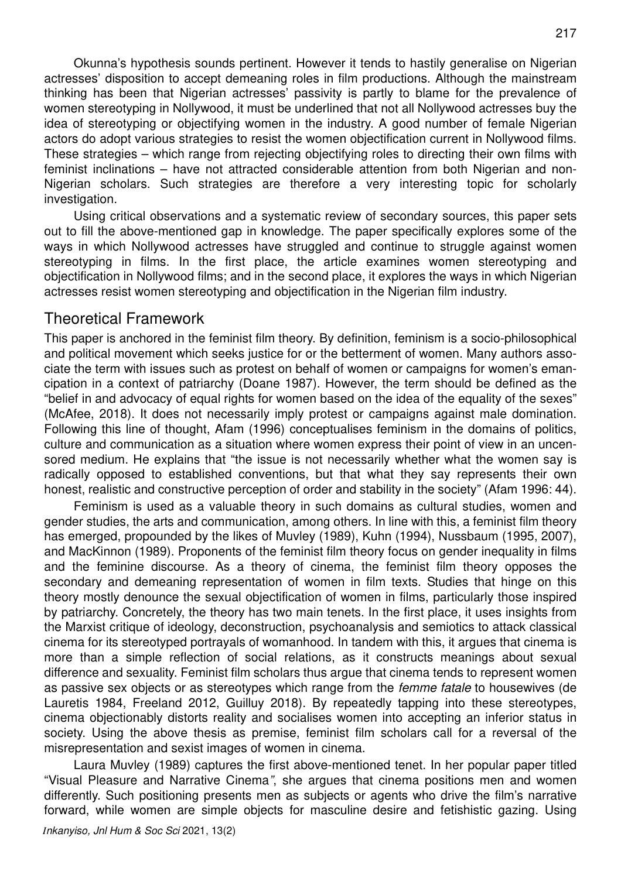Okunna's hypothesis sounds pertinent. However it tends to hastily generalise on Nigerian actresses' disposition to accept demeaning roles in film productions. Although the mainstream thinking has been that Nigerian actresses' passivity is partly to blame for the prevalence of women stereotyping in Nollywood, it must be underlined that not all Nollywood actresses buy the idea of stereotyping or objectifying women in the industry. A good number of female Nigerian actors do adopt various strategies to resist the women objectification current in Nollywood films. These strategies – which range from rejecting objectifying roles to directing their own films with feminist inclinations – have not attracted considerable attention from both Nigerian and non-Nigerian scholars. Such strategies are therefore a very interesting topic for scholarly investigation.

Using critical observations and a systematic review of secondary sources, this paper sets out to fill the above-mentioned gap in knowledge. The paper specifically explores some of the ways in which Nollywood actresses have struggled and continue to struggle against women stereotyping in films. In the first place, the article examines women stereotyping and objectification in Nollywood films; and in the second place, it explores the ways in which Nigerian actresses resist women stereotyping and objectification in the Nigerian film industry.

#### Theoretical Framework

This paper is anchored in the feminist film theory. By definition, feminism is a socio-philosophical and political movement which seeks justice for or the betterment of women. Many authors associate the term with issues such as protest on behalf of women or campaigns for women's emancipation in a context of patriarchy (Doane 1987). However, the term should be defined as the "belief in and advocacy of equal rights for women based on the idea of the equality of the sexes" (McAfee, 2018). It does not necessarily imply protest or campaigns against male domination. Following this line of thought, Afam (1996) conceptualises feminism in the domains of politics, culture and communication as a situation where women express their point of view in an uncensored medium. He explains that "the issue is not necessarily whether what the women say is radically opposed to established conventions, but that what they say represents their own honest, realistic and constructive perception of order and stability in the society" (Afam 1996: 44).

Feminism is used as a valuable theory in such domains as cultural studies, women and gender studies, the arts and communication, among others. In line with this, a feminist film theory has emerged, propounded by the likes of Muvley (1989), Kuhn (1994), Nussbaum (1995, 2007), and MacKinnon (1989). Proponents of the feminist film theory focus on gender inequality in films and the feminine discourse. As a theory of cinema, the feminist film theory opposes the secondary and demeaning representation of women in film texts. Studies that hinge on this theory mostly denounce the sexual objectification of women in films, particularly those inspired by patriarchy. Concretely, the theory has two main tenets. In the first place, it uses insights from the Marxist critique of ideology, deconstruction, psychoanalysis and semiotics to attack classical cinema for its stereotyped portrayals of womanhood. In tandem with this, it argues that cinema is more than a simple reflection of social relations, as it constructs meanings about sexual difference and sexuality. Feminist film scholars thus argue that cinema tends to represent women as passive sex objects or as stereotypes which range from the femme fatale to housewives (de Lauretis 1984, Freeland 2012, Guilluy 2018). By repeatedly tapping into these stereotypes, cinema objectionably distorts reality and socialises women into accepting an inferior status in society. Using the above thesis as premise, feminist film scholars call for a reversal of the misrepresentation and sexist images of women in cinema.

Laura Muvley (1989) captures the first above-mentioned tenet. In her popular paper titled "Visual Pleasure and Narrative Cinema", she argues that cinema positions men and women differently. Such positioning presents men as subjects or agents who drive the film's narrative forward, while women are simple objects for masculine desire and fetishistic gazing. Using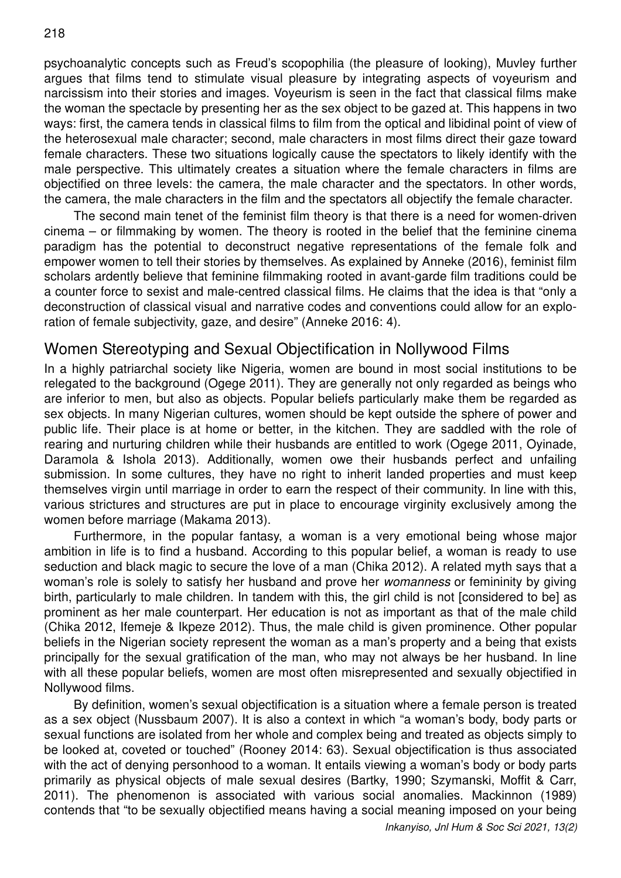psychoanalytic concepts such as Freud's scopophilia (the pleasure of looking), Muvley further argues that films tend to stimulate visual pleasure by integrating aspects of voyeurism and narcissism into their stories and images. Voyeurism is seen in the fact that classical films make the woman the spectacle by presenting her as the sex object to be gazed at. This happens in two ways: first, the camera tends in classical films to film from the optical and libidinal point of view of the heterosexual male character; second, male characters in most films direct their gaze toward female characters. These two situations logically cause the spectators to likely identify with the male perspective. This ultimately creates a situation where the female characters in films are objectified on three levels: the camera, the male character and the spectators. In other words, the camera, the male characters in the film and the spectators all objectify the female character.

The second main tenet of the feminist film theory is that there is a need for women-driven cinema – or filmmaking by women. The theory is rooted in the belief that the feminine cinema paradigm has the potential to deconstruct negative representations of the female folk and empower women to tell their stories by themselves. As explained by Anneke (2016), feminist film scholars ardently believe that feminine filmmaking rooted in avant-garde film traditions could be a counter force to sexist and male-centred classical films. He claims that the idea is that "only a deconstruction of classical visual and narrative codes and conventions could allow for an exploration of female subjectivity, gaze, and desire" (Anneke 2016: 4).

## Women Stereotyping and Sexual Objectification in Nollywood Films

In a highly patriarchal society like Nigeria, women are bound in most social institutions to be relegated to the background (Ogege 2011). They are generally not only regarded as beings who are inferior to men, but also as objects. Popular beliefs particularly make them be regarded as sex objects. In many Nigerian cultures, women should be kept outside the sphere of power and public life. Their place is at home or better, in the kitchen. They are saddled with the role of rearing and nurturing children while their husbands are entitled to work (Ogege 2011, Oyinade, Daramola & Ishola 2013). Additionally, women owe their husbands perfect and unfailing submission. In some cultures, they have no right to inherit landed properties and must keep themselves virgin until marriage in order to earn the respect of their community. In line with this, various strictures and structures are put in place to encourage virginity exclusively among the women before marriage (Makama 2013).

Furthermore, in the popular fantasy, a woman is a very emotional being whose major ambition in life is to find a husband. According to this popular belief, a woman is ready to use seduction and black magic to secure the love of a man (Chika 2012). A related myth says that a woman's role is solely to satisfy her husband and prove her womanness or femininity by giving birth, particularly to male children. In tandem with this, the girl child is not [considered to be] as prominent as her male counterpart. Her education is not as important as that of the male child (Chika 2012, Ifemeje & Ikpeze 2012). Thus, the male child is given prominence. Other popular beliefs in the Nigerian society represent the woman as a man's property and a being that exists principally for the sexual gratification of the man, who may not always be her husband. In line with all these popular beliefs, women are most often misrepresented and sexually objectified in Nollywood films.

By definition, women's sexual objectification is a situation where a female person is treated as a sex object (Nussbaum 2007). It is also a context in which "a woman's body, body parts or sexual functions are isolated from her whole and complex being and treated as objects simply to be looked at, coveted or touched" (Rooney 2014: 63). Sexual objectification is thus associated with the act of denying personhood to a woman. It entails viewing a woman's body or body parts primarily as physical objects of male sexual desires (Bartky, 1990; Szymanski, Moffit & Carr, 2011). The phenomenon is associated with various social anomalies. Mackinnon (1989) contends that "to be sexually objectified means having a social meaning imposed on your being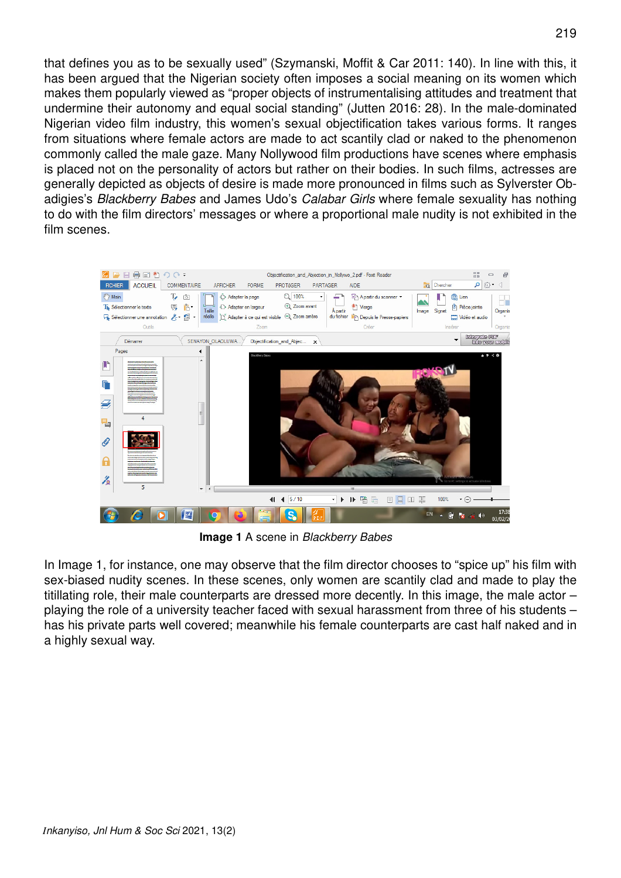that defines you as to be sexually used" (Szymanski, Moffit & Car 2011: 140). In line with this, it has been argued that the Nigerian society often imposes a social meaning on its women which makes them popularly viewed as "proper objects of instrumentalising attitudes and treatment that undermine their autonomy and equal social standing" (Jutten 2016: 28). In the male-dominated Nigerian video film industry, this women's sexual objectification takes various forms. It ranges from situations where female actors are made to act scantily clad or naked to the phenomenon commonly called the male gaze. Many Nollywood film productions have scenes where emphasis is placed not on the personality of actors but rather on their bodies. In such films, actresses are generally depicted as objects of desire is made more pronounced in films such as Sylverster Obadigies's Blackberry Babes and James Udo's Calabar Girls where female sexuality has nothing to do with the film directors' messages or where a proportional male nudity is not exhibited in the film scenes.



**Image 1** A scene in Blackberry Babes

In Image 1, for instance, one may observe that the film director chooses to "spice up" his film with sex-biased nudity scenes. In these scenes, only women are scantily clad and made to play the titillating role, their male counterparts are dressed more decently. In this image, the male actor – playing the role of a university teacher faced with sexual harassment from three of his students – has his private parts well covered; meanwhile his female counterparts are cast half naked and in a highly sexual way.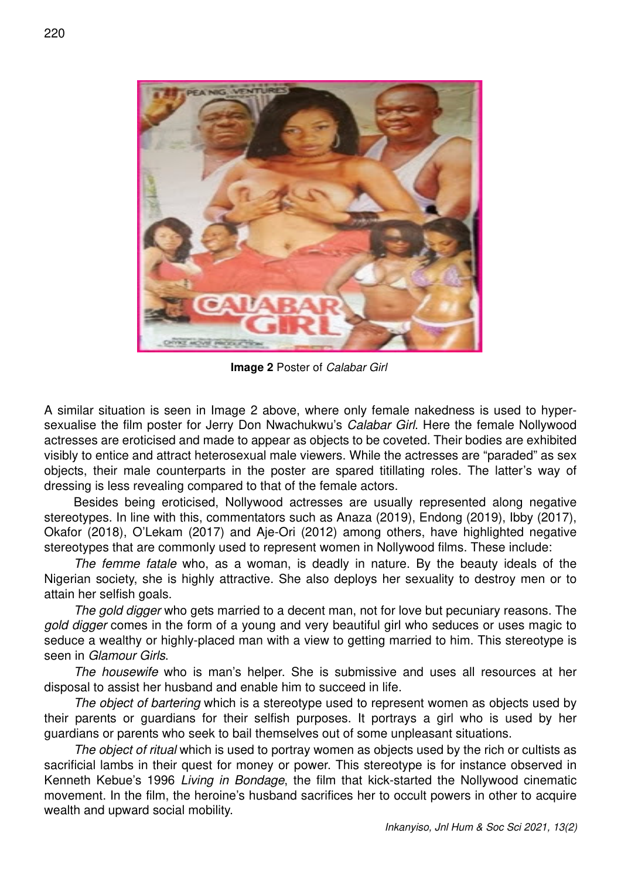

**Image 2** Poster of Calabar Girl

A similar situation is seen in Image 2 above, where only female nakedness is used to hypersexualise the film poster for Jerry Don Nwachukwu's Calabar Girl. Here the female Nollywood actresses are eroticised and made to appear as objects to be coveted. Their bodies are exhibited visibly to entice and attract heterosexual male viewers. While the actresses are "paraded" as sex objects, their male counterparts in the poster are spared titillating roles. The latter's way of dressing is less revealing compared to that of the female actors.

Besides being eroticised, Nollywood actresses are usually represented along negative stereotypes. In line with this, commentators such as Anaza (2019), Endong (2019), Ibby (2017), Okafor (2018), O'Lekam (2017) and Aje-Ori (2012) among others, have highlighted negative stereotypes that are commonly used to represent women in Nollywood films. These include:

The femme fatale who, as a woman, is deadly in nature. By the beauty ideals of the Nigerian society, she is highly attractive. She also deploys her sexuality to destroy men or to attain her selfish goals.

The gold digger who gets married to a decent man, not for love but pecuniary reasons. The gold digger comes in the form of a young and very beautiful girl who seduces or uses magic to seduce a wealthy or highly-placed man with a view to getting married to him. This stereotype is seen in Glamour Girls.

The housewife who is man's helper. She is submissive and uses all resources at her disposal to assist her husband and enable him to succeed in life.

The object of bartering which is a stereotype used to represent women as objects used by their parents or guardians for their selfish purposes. It portrays a girl who is used by her guardians or parents who seek to bail themselves out of some unpleasant situations.

The object of ritual which is used to portray women as objects used by the rich or cultists as sacrificial lambs in their quest for money or power. This stereotype is for instance observed in Kenneth Kebue's 1996 Living in Bondage, the film that kick-started the Nollywood cinematic movement. In the film, the heroine's husband sacrifices her to occult powers in other to acquire wealth and upward social mobility.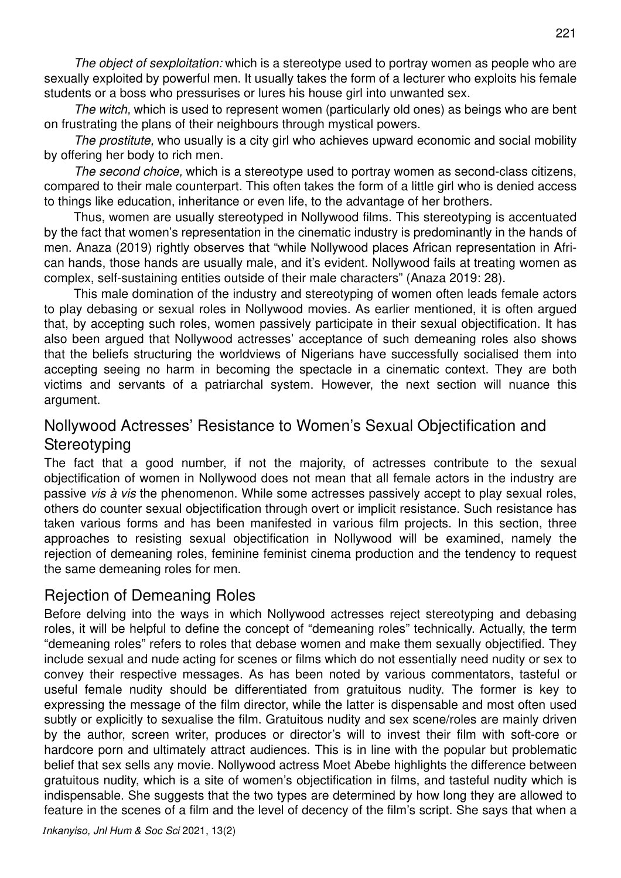The object of sexploitation: which is a stereotype used to portray women as people who are sexually exploited by powerful men. It usually takes the form of a lecturer who exploits his female students or a boss who pressurises or lures his house girl into unwanted sex.

The witch, which is used to represent women (particularly old ones) as beings who are bent on frustrating the plans of their neighbours through mystical powers.

The prostitute, who usually is a city girl who achieves upward economic and social mobility by offering her body to rich men.

The second choice, which is a stereotype used to portray women as second-class citizens, compared to their male counterpart. This often takes the form of a little girl who is denied access to things like education, inheritance or even life, to the advantage of her brothers.

Thus, women are usually stereotyped in Nollywood films. This stereotyping is accentuated by the fact that women's representation in the cinematic industry is predominantly in the hands of men. Anaza (2019) rightly observes that "while Nollywood places African representation in African hands, those hands are usually male, and it's evident. Nollywood fails at treating women as complex, self-sustaining entities outside of their male characters" (Anaza 2019: 28).

This male domination of the industry and stereotyping of women often leads female actors to play debasing or sexual roles in Nollywood movies. As earlier mentioned, it is often argued that, by accepting such roles, women passively participate in their sexual objectification. It has also been argued that Nollywood actresses' acceptance of such demeaning roles also shows that the beliefs structuring the worldviews of Nigerians have successfully socialised them into accepting seeing no harm in becoming the spectacle in a cinematic context. They are both victims and servants of a patriarchal system. However, the next section will nuance this argument.

# Nollywood Actresses' Resistance to Women's Sexual Objectification and **Stereotyping**

The fact that a good number, if not the majority, of actresses contribute to the sexual objectification of women in Nollywood does not mean that all female actors in the industry are passive vis à vis the phenomenon. While some actresses passively accept to play sexual roles, others do counter sexual objectification through overt or implicit resistance. Such resistance has taken various forms and has been manifested in various film projects. In this section, three approaches to resisting sexual objectification in Nollywood will be examined, namely the rejection of demeaning roles, feminine feminist cinema production and the tendency to request the same demeaning roles for men.

## Rejection of Demeaning Roles

Before delving into the ways in which Nollywood actresses reject stereotyping and debasing roles, it will be helpful to define the concept of "demeaning roles" technically. Actually, the term "demeaning roles" refers to roles that debase women and make them sexually objectified. They include sexual and nude acting for scenes or films which do not essentially need nudity or sex to convey their respective messages. As has been noted by various commentators, tasteful or useful female nudity should be differentiated from gratuitous nudity. The former is key to expressing the message of the film director, while the latter is dispensable and most often used subtly or explicitly to sexualise the film. Gratuitous nudity and sex scene/roles are mainly driven by the author, screen writer, produces or director's will to invest their film with soft-core or hardcore porn and ultimately attract audiences. This is in line with the popular but problematic belief that sex sells any movie. Nollywood actress Moet Abebe highlights the difference between gratuitous nudity, which is a site of women's objectification in films, and tasteful nudity which is indispensable. She suggests that the two types are determined by how long they are allowed to feature in the scenes of a film and the level of decency of the film's script. She says that when a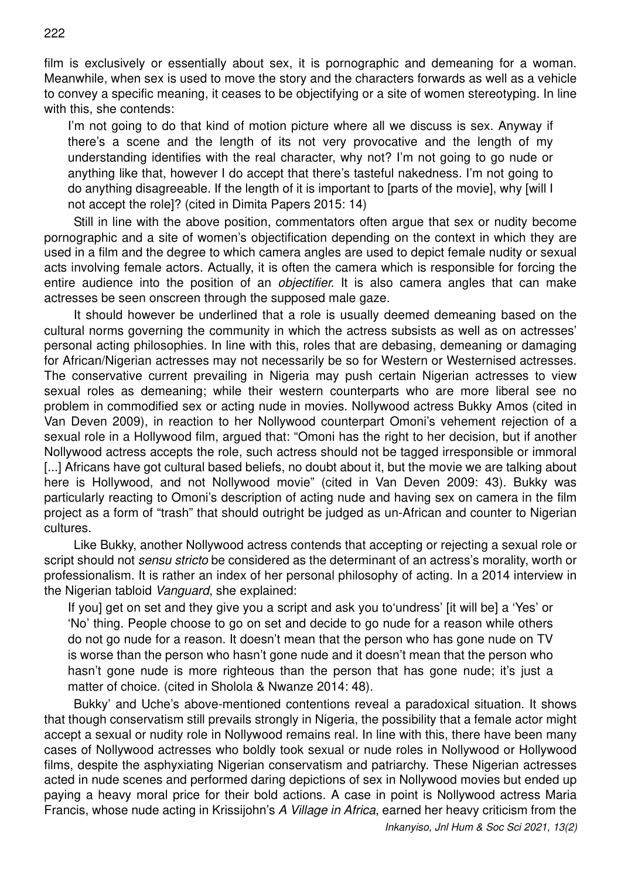film is exclusively or essentially about sex, it is pornographic and demeaning for a woman. Meanwhile, when sex is used to move the story and the characters forwards as well as a vehicle to convey a specific meaning, it ceases to be objectifying or a site of women stereotyping. In line with this, she contends:

I'm not going to do that kind of motion picture where all we discuss is sex. Anyway if there's a scene and the length of its not very provocative and the length of my understanding identifies with the real character, why not? I'm not going to go nude or anything like that, however I do accept that there's tasteful nakedness. I'm not going to do anything disagreeable. If the length of it is important to [parts of the movie], why [will I not accept the role]? (cited in Dimita Papers 2015: 14)

Still in line with the above position, commentators often argue that sex or nudity become pornographic and a site of women's objectification depending on the context in which they are used in a film and the degree to which camera angles are used to depict female nudity or sexual acts involving female actors. Actually, it is often the camera which is responsible for forcing the entire audience into the position of an *objectifier*. It is also camera angles that can make actresses be seen onscreen through the supposed male gaze.

It should however be underlined that a role is usually deemed demeaning based on the cultural norms governing the community in which the actress subsists as well as on actresses' personal acting philosophies. In line with this, roles that are debasing, demeaning or damaging for African/Nigerian actresses may not necessarily be so for Western or Westernised actresses. The conservative current prevailing in Nigeria may push certain Nigerian actresses to view sexual roles as demeaning; while their western counterparts who are more liberal see no problem in commodified sex or acting nude in movies. Nollywood actress Bukky Amos (cited in Van Deven 2009), in reaction to her Nollywood counterpart Omoni's vehement rejection of a sexual role in a Hollywood film, argued that: "Omoni has the right to her decision, but if another Nollywood actress accepts the role, such actress should not be tagged irresponsible or immoral [...] Africans have got cultural based beliefs, no doubt about it, but the movie we are talking about here is Hollywood, and not Nollywood movie" (cited in Van Deven 2009: 43). Bukky was particularly reacting to Omoni's description of acting nude and having sex on camera in the film project as a form of "trash" that should outright be judged as un-African and counter to Nigerian cultures.

Like Bukky, another Nollywood actress contends that accepting or rejecting a sexual role or script should not sensu stricto be considered as the determinant of an actress's morality, worth or professionalism. It is rather an index of her personal philosophy of acting. In a 2014 interview in the Nigerian tabloid Vanguard, she explained:

If you] get on set and they give you a script and ask you to'undress' [it will be] a 'Yes' or 'No' thing. People choose to go on set and decide to go nude for a reason while others do not go nude for a reason. It doesn't mean that the person who has gone nude on TV is worse than the person who hasn't gone nude and it doesn't mean that the person who hasn't gone nude is more righteous than the person that has gone nude; it's just a matter of choice. (cited in Sholola & Nwanze 2014: 48).

Bukky' and Uche's above-mentioned contentions reveal a paradoxical situation. It shows that though conservatism still prevails strongly in Nigeria, the possibility that a female actor might accept a sexual or nudity role in Nollywood remains real. In line with this, there have been many cases of Nollywood actresses who boldly took sexual or nude roles in Nollywood or Hollywood films, despite the asphyxiating Nigerian conservatism and patriarchy. These Nigerian actresses acted in nude scenes and performed daring depictions of sex in Nollywood movies but ended up paying a heavy moral price for their bold actions. A case in point is Nollywood actress Maria Francis, whose nude acting in Krissijohn's A Village in Africa, earned her heavy criticism from the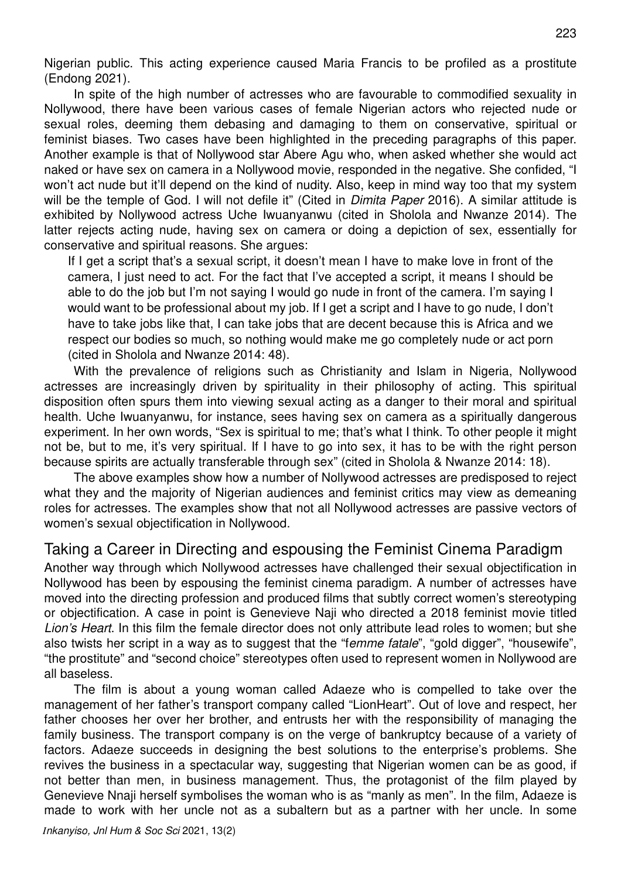Nigerian public. This acting experience caused Maria Francis to be profiled as a prostitute (Endong 2021).

In spite of the high number of actresses who are favourable to commodified sexuality in Nollywood, there have been various cases of female Nigerian actors who rejected nude or sexual roles, deeming them debasing and damaging to them on conservative, spiritual or feminist biases. Two cases have been highlighted in the preceding paragraphs of this paper. Another example is that of Nollywood star Abere Agu who, when asked whether she would act naked or have sex on camera in a Nollywood movie, responded in the negative. She confided, "I won't act nude but it'll depend on the kind of nudity. Also, keep in mind way too that my system will be the temple of God. I will not defile it" (Cited in *Dimita Paper* 2016). A similar attitude is exhibited by Nollywood actress Uche Iwuanyanwu (cited in Sholola and Nwanze 2014). The latter rejects acting nude, having sex on camera or doing a depiction of sex, essentially for conservative and spiritual reasons. She argues:

If I get a script that's a sexual script, it doesn't mean I have to make love in front of the camera, I just need to act. For the fact that I've accepted a script, it means I should be able to do the job but I'm not saying I would go nude in front of the camera. I'm saying I would want to be professional about my job. If I get a script and I have to go nude, I don't have to take jobs like that, I can take jobs that are decent because this is Africa and we respect our bodies so much, so nothing would make me go completely nude or act porn (cited in Sholola and Nwanze 2014: 48).

With the prevalence of religions such as Christianity and Islam in Nigeria, Nollywood actresses are increasingly driven by spirituality in their philosophy of acting. This spiritual disposition often spurs them into viewing sexual acting as a danger to their moral and spiritual health. Uche Iwuanyanwu, for instance, sees having sex on camera as a spiritually dangerous experiment. In her own words, "Sex is spiritual to me; that's what I think. To other people it might not be, but to me, it's very spiritual. If I have to go into sex, it has to be with the right person because spirits are actually transferable through sex" (cited in Sholola & Nwanze 2014: 18).

The above examples show how a number of Nollywood actresses are predisposed to reject what they and the majority of Nigerian audiences and feminist critics may view as demeaning roles for actresses. The examples show that not all Nollywood actresses are passive vectors of women's sexual objectification in Nollywood.

### Taking a Career in Directing and espousing the Feminist Cinema Paradigm

Another way through which Nollywood actresses have challenged their sexual objectification in Nollywood has been by espousing the feminist cinema paradigm. A number of actresses have moved into the directing profession and produced films that subtly correct women's stereotyping or objectification. A case in point is Genevieve Naji who directed a 2018 feminist movie titled Lion's Heart. In this film the female director does not only attribute lead roles to women; but she also twists her script in a way as to suggest that the "femme fatale", "gold digger", "housewife", "the prostitute" and "second choice" stereotypes often used to represent women in Nollywood are all baseless.

The film is about a young woman called Adaeze who is compelled to take over the management of her father's transport company called "LionHeart". Out of love and respect, her father chooses her over her brother, and entrusts her with the responsibility of managing the family business. The transport company is on the verge of bankruptcy because of a variety of factors. Adaeze succeeds in designing the best solutions to the enterprise's problems. She revives the business in a spectacular way, suggesting that Nigerian women can be as good, if not better than men, in business management. Thus, the protagonist of the film played by Genevieve Nnaji herself symbolises the woman who is as "manly as men". In the film, Adaeze is made to work with her uncle not as a subaltern but as a partner with her uncle. In some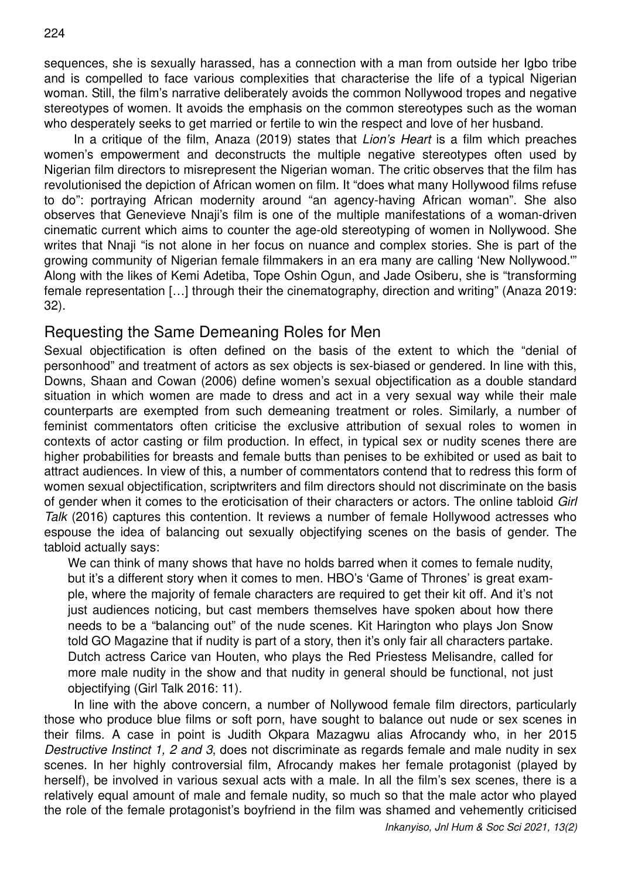sequences, she is sexually harassed, has a connection with a man from outside her Igbo tribe and is compelled to face various complexities that characterise the life of a typical Nigerian woman. Still, the film's narrative deliberately avoids the common Nollywood tropes and negative stereotypes of women. It avoids the emphasis on the common stereotypes such as the woman who desperately seeks to get married or fertile to win the respect and love of her husband.

In a critique of the film, Anaza (2019) states that *Lion's Heart* is a film which preaches women's empowerment and deconstructs the multiple negative stereotypes often used by Nigerian film directors to misrepresent the Nigerian woman. The critic observes that the film has revolutionised the depiction of African women on film. It "does what many Hollywood films refuse to do": portraying African modernity around "an agency-having African woman". She also observes that Genevieve Nnaji's film is one of the multiple manifestations of a woman-driven cinematic current which aims to counter the age-old stereotyping of women in Nollywood. She writes that Nnaii "is not alone in her focus on nuance and complex stories. She is part of the growing community of Nigerian female filmmakers in an era many are calling 'New Nollywood.'" Along with the likes of Kemi Adetiba, Tope Oshin Ogun, and Jade Osiberu, she is "transforming female representation […] through their the cinematography, direction and writing" (Anaza 2019: 32).

### Requesting the Same Demeaning Roles for Men

Sexual objectification is often defined on the basis of the extent to which the "denial of personhood" and treatment of actors as sex objects is sex-biased or gendered. In line with this, Downs, Shaan and Cowan (2006) define women's sexual objectification as a double standard situation in which women are made to dress and act in a very sexual way while their male counterparts are exempted from such demeaning treatment or roles. Similarly, a number of feminist commentators often criticise the exclusive attribution of sexual roles to women in contexts of actor casting or film production. In effect, in typical sex or nudity scenes there are higher probabilities for breasts and female butts than penises to be exhibited or used as bait to attract audiences. In view of this, a number of commentators contend that to redress this form of women sexual objectification, scriptwriters and film directors should not discriminate on the basis of gender when it comes to the eroticisation of their characters or actors. The online tabloid Girl Talk (2016) captures this contention. It reviews a number of female Hollywood actresses who espouse the idea of balancing out sexually objectifying scenes on the basis of gender. The tabloid actually says:

We can think of many shows that have no holds barred when it comes to female nudity, but it's a different story when it comes to men. HBO's 'Game of Thrones' is great example, where the majority of female characters are required to get their kit off. And it's not just audiences noticing, but cast members themselves have spoken about how there needs to be a "balancing out" of the nude scenes. Kit Harington who plays Jon Snow told GO Magazine that if nudity is part of a story, then it's only fair all characters partake. Dutch actress Carice van Houten, who plays the Red Priestess Melisandre, called for more male nudity in the show and that nudity in general should be functional, not just objectifying (Girl Talk 2016: 11).

In line with the above concern, a number of Nollywood female film directors, particularly those who produce blue films or soft porn, have sought to balance out nude or sex scenes in their films. A case in point is Judith Okpara Mazagwu alias Afrocandy who, in her 2015 Destructive Instinct 1, 2 and 3, does not discriminate as regards female and male nudity in sex scenes. In her highly controversial film, Afrocandy makes her female protagonist (played by herself), be involved in various sexual acts with a male. In all the film's sex scenes, there is a relatively equal amount of male and female nudity, so much so that the male actor who played the role of the female protagonist's boyfriend in the film was shamed and vehemently criticised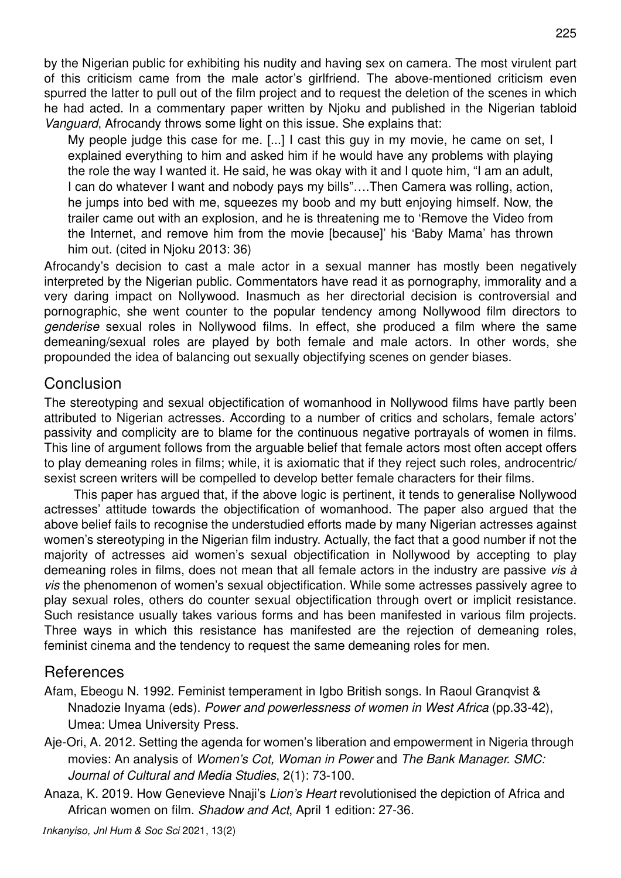by the Nigerian public for exhibiting his nudity and having sex on camera. The most virulent part of this criticism came from the male actor's girlfriend. The above-mentioned criticism even spurred the latter to pull out of the film project and to request the deletion of the scenes in which he had acted. In a commentary paper written by Njoku and published in the Nigerian tabloid Vanguard, Afrocandy throws some light on this issue. She explains that:

My people judge this case for me. [...] I cast this guy in my movie, he came on set, I explained everything to him and asked him if he would have any problems with playing the role the way I wanted it. He said, he was okay with it and I quote him, "I am an adult, I can do whatever I want and nobody pays my bills"….Then Camera was rolling, action, he jumps into bed with me, squeezes my boob and my butt enjoying himself. Now, the trailer came out with an explosion, and he is threatening me to 'Remove the Video from the Internet, and remove him from the movie [because]' his 'Baby Mama' has thrown him out. (cited in Njoku 2013: 36)

Afrocandy's decision to cast a male actor in a sexual manner has mostly been negatively interpreted by the Nigerian public. Commentators have read it as pornography, immorality and a very daring impact on Nollywood. Inasmuch as her directorial decision is controversial and pornographic, she went counter to the popular tendency among Nollywood film directors to genderise sexual roles in Nollywood films. In effect, she produced a film where the same demeaning/sexual roles are played by both female and male actors. In other words, she propounded the idea of balancing out sexually objectifying scenes on gender biases.

#### **Conclusion**

The stereotyping and sexual objectification of womanhood in Nollywood films have partly been attributed to Nigerian actresses. According to a number of critics and scholars, female actors' passivity and complicity are to blame for the continuous negative portrayals of women in films. This line of argument follows from the arguable belief that female actors most often accept offers to play demeaning roles in films; while, it is axiomatic that if they reject such roles, androcentric/ sexist screen writers will be compelled to develop better female characters for their films.

This paper has argued that, if the above logic is pertinent, it tends to generalise Nollywood actresses' attitude towards the objectification of womanhood. The paper also argued that the above belief fails to recognise the understudied efforts made by many Nigerian actresses against women's stereotyping in the Nigerian film industry. Actually, the fact that a good number if not the majority of actresses aid women's sexual objectification in Nollywood by accepting to play demeaning roles in films, does not mean that all female actors in the industry are passive vis à vis the phenomenon of women's sexual objectification. While some actresses passively agree to play sexual roles, others do counter sexual objectification through overt or implicit resistance. Such resistance usually takes various forms and has been manifested in various film projects. Three ways in which this resistance has manifested are the rejection of demeaning roles, feminist cinema and the tendency to request the same demeaning roles for men.

### References

- Afam, Ebeogu N. 1992. Feminist temperament in Igbo British songs. In Raoul Granqvist & Nnadozie Inyama (eds). Power and powerlessness of women in West Africa (pp.33-42), Umea: Umea University Press.
- Aje-Ori, A. 2012. Setting the agenda for women's liberation and empowerment in Nigeria through movies: An analysis of Women's Cot. Woman in Power and The Bank Manager. SMC: Journal of Cultural and Media Studies, 2(1): 73-100.
- Anaza, K. 2019. How Genevieve Nnaji's Lion's Heart revolutionised the depiction of Africa and African women on film. Shadow and Act, April 1 edition: 27-36.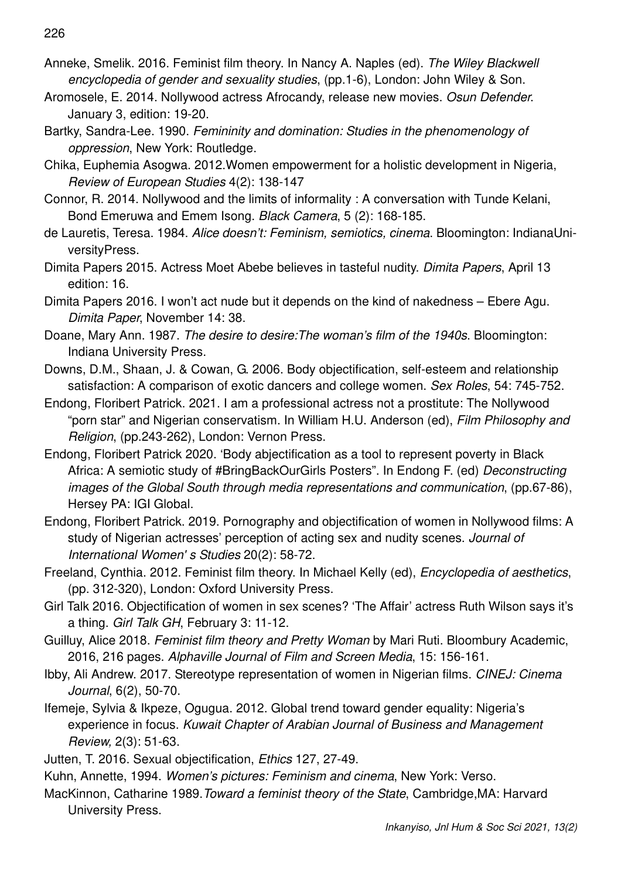- Anneke, Smelik. 2016. Feminist film theory. In Nancy A. Naples (ed). The Wiley Blackwell encyclopedia of gender and sexuality studies, (pp.1-6), London: John Wiley & Son.
- Aromosele, E. 2014. Nollywood actress Afrocandy, release new movies. Osun Defender. January 3, edition: 19-20.
- Bartky, Sandra-Lee. 1990. Femininity and domination: Studies in the phenomenology of oppression, New York: Routledge.
- Chika, Euphemia Asogwa. 2012.Women empowerment for a holistic development in Nigeria, Review of European Studies 4(2): 138-147
- Connor, R. 2014. Nollywood and the limits of informality : A conversation with Tunde Kelani, Bond Emeruwa and Emem Isong. Black Camera, 5 (2): 168-185.
- de Lauretis, Teresa. 1984. Alice doesn't: Feminism, semiotics, cinema. Bloomington: IndianaUniversityPress.
- Dimita Papers 2015. Actress Moet Abebe believes in tasteful nudity. Dimita Papers, April 13 edition: 16.
- Dimita Papers 2016. I won't act nude but it depends on the kind of nakedness Ebere Agu. Dimita Paper, November 14: 38.
- Doane, Mary Ann. 1987. The desire to desire:The woman's film of the 1940s. Bloomington: Indiana University Press.
- Downs, D.M., Shaan, J. & Cowan, G. 2006. Body objectification, self-esteem and relationship satisfaction: A comparison of exotic dancers and college women. Sex Roles, 54: 745-752.
- Endong, Floribert Patrick. 2021. I am a professional actress not a prostitute: The Nollywood "porn star" and Nigerian conservatism. In William H.U. Anderson (ed), Film Philosophy and Religion, (pp.243-262), London: Vernon Press.
- Endong, Floribert Patrick 2020. 'Body abjectification as a tool to represent poverty in Black Africa: A semiotic study of #BringBackOurGirls Posters". In Endong F. (ed) Deconstructing images of the Global South through media representations and communication, (pp.67-86), Hersey PA: IGI Global.
- Endong, Floribert Patrick. 2019. Pornography and objectification of women in Nollywood films: A study of Nigerian actresses' perception of acting sex and nudity scenes. Journal of International Women' s Studies 20(2): 58-72.
- Freeland, Cynthia. 2012. Feminist film theory. In Michael Kelly (ed), Encyclopedia of aesthetics, (pp. 312-320), London: Oxford University Press.
- Girl Talk 2016. Objectification of women in sex scenes? 'The Affair' actress Ruth Wilson says it's a thing. Girl Talk GH, February 3: 11-12.
- Guilluy, Alice 2018. Feminist film theory and Pretty Woman by Mari Ruti. Bloombury Academic, 2016, 216 pages. Alphaville Journal of Film and Screen Media, 15: 156-161.
- Ibby, Ali Andrew. 2017. Stereotype representation of women in Nigerian films. CINEJ: Cinema Journal, 6(2), 50-70.
- Ifemeje, Sylvia & Ikpeze, Ogugua. 2012. Global trend toward gender equality: Nigeria's experience in focus. Kuwait Chapter of Arabian Journal of Business and Management Review, 2(3): 51-63.
- Jutten, T. 2016. Sexual objectification, Ethics 127, 27-49.
- Kuhn, Annette, 1994. Women's pictures: Feminism and cinema, New York: Verso.
- MacKinnon, Catharine 1989.Toward a feminist theory of the State, Cambridge,MA: Harvard University Press.